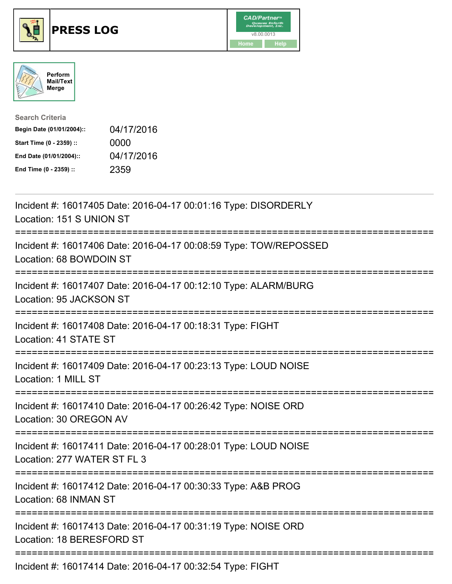





| <b>Search Criteria</b>    |            |
|---------------------------|------------|
| Begin Date (01/01/2004):: | 04/17/2016 |
| Start Time (0 - 2359) ::  | 0000       |
| End Date (01/01/2004)::   | 04/17/2016 |
| End Time (0 - 2359) ::    | 2359       |

| Incident #: 16017405 Date: 2016-04-17 00:01:16 Type: DISORDERLY<br>Location: 151 S UNION ST    |
|------------------------------------------------------------------------------------------------|
| Incident #: 16017406 Date: 2016-04-17 00:08:59 Type: TOW/REPOSSED<br>Location: 68 BOWDOIN ST   |
| Incident #: 16017407 Date: 2016-04-17 00:12:10 Type: ALARM/BURG<br>Location: 95 JACKSON ST     |
| Incident #: 16017408 Date: 2016-04-17 00:18:31 Type: FIGHT<br>Location: 41 STATE ST            |
| Incident #: 16017409 Date: 2016-04-17 00:23:13 Type: LOUD NOISE<br>Location: 1 MILL ST         |
| Incident #: 16017410 Date: 2016-04-17 00:26:42 Type: NOISE ORD<br>Location: 30 OREGON AV       |
| Incident #: 16017411 Date: 2016-04-17 00:28:01 Type: LOUD NOISE<br>Location: 277 WATER ST FL 3 |
| Incident #: 16017412 Date: 2016-04-17 00:30:33 Type: A&B PROG<br>Location: 68 INMAN ST         |
| Incident #: 16017413 Date: 2016-04-17 00:31:19 Type: NOISE ORD<br>Location: 18 BERESFORD ST    |
| $I_{\text{no}}$ don't #: 16017111 Dota: 2016 01 17 00:22:51 Type: $\Box$                       |

Incident #: 16017414 Date: 2016-04-17 00:32:54 Type: FIGHT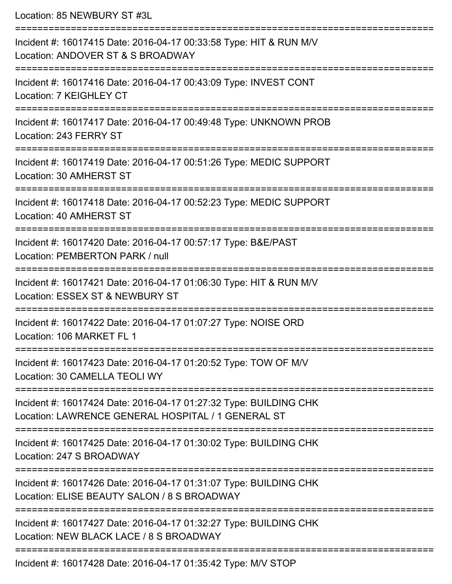Location: 85 NEWBURY ST #3L

| Incident #: 16017415 Date: 2016-04-17 00:33:58 Type: HIT & RUN M/V<br>Location: ANDOVER ST & S BROADWAY                 |
|-------------------------------------------------------------------------------------------------------------------------|
| Incident #: 16017416 Date: 2016-04-17 00:43:09 Type: INVEST CONT<br>Location: 7 KEIGHLEY CT                             |
| Incident #: 16017417 Date: 2016-04-17 00:49:48 Type: UNKNOWN PROB<br>Location: 243 FERRY ST                             |
| Incident #: 16017419 Date: 2016-04-17 00:51:26 Type: MEDIC SUPPORT<br>Location: 30 AMHERST ST                           |
| Incident #: 16017418 Date: 2016-04-17 00:52:23 Type: MEDIC SUPPORT<br>Location: 40 AMHERST ST                           |
| Incident #: 16017420 Date: 2016-04-17 00:57:17 Type: B&E/PAST<br>Location: PEMBERTON PARK / null                        |
| Incident #: 16017421 Date: 2016-04-17 01:06:30 Type: HIT & RUN M/V<br>Location: ESSEX ST & NEWBURY ST                   |
| Incident #: 16017422 Date: 2016-04-17 01:07:27 Type: NOISE ORD<br>Location: 106 MARKET FL 1                             |
| Incident #: 16017423 Date: 2016-04-17 01:20:52 Type: TOW OF M/V<br>Location: 30 CAMELLA TEOLI WY                        |
| Incident #: 16017424 Date: 2016-04-17 01:27:32 Type: BUILDING CHK<br>Location: LAWRENCE GENERAL HOSPITAL / 1 GENERAL ST |
| Incident #: 16017425 Date: 2016-04-17 01:30:02 Type: BUILDING CHK<br>Location: 247 S BROADWAY                           |
| Incident #: 16017426 Date: 2016-04-17 01:31:07 Type: BUILDING CHK<br>Location: ELISE BEAUTY SALON / 8 S BROADWAY        |
| Incident #: 16017427 Date: 2016-04-17 01:32:27 Type: BUILDING CHK<br>Location: NEW BLACK LACE / 8 S BROADWAY            |
| Incident #: 16017428 Date: 2016-04-17 01:35:42 Type: M/V STOP                                                           |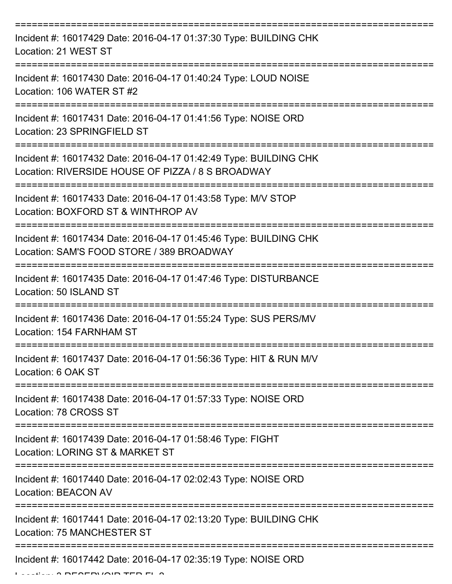| Incident #: 16017429 Date: 2016-04-17 01:37:30 Type: BUILDING CHK<br>Location: 21 WEST ST                              |
|------------------------------------------------------------------------------------------------------------------------|
| Incident #: 16017430 Date: 2016-04-17 01:40:24 Type: LOUD NOISE<br>Location: 106 WATER ST #2                           |
| Incident #: 16017431 Date: 2016-04-17 01:41:56 Type: NOISE ORD<br>Location: 23 SPRINGFIELD ST                          |
| Incident #: 16017432 Date: 2016-04-17 01:42:49 Type: BUILDING CHK<br>Location: RIVERSIDE HOUSE OF PIZZA / 8 S BROADWAY |
| Incident #: 16017433 Date: 2016-04-17 01:43:58 Type: M/V STOP<br>Location: BOXFORD ST & WINTHROP AV                    |
| Incident #: 16017434 Date: 2016-04-17 01:45:46 Type: BUILDING CHK<br>Location: SAM'S FOOD STORE / 389 BROADWAY         |
| Incident #: 16017435 Date: 2016-04-17 01:47:46 Type: DISTURBANCE<br>Location: 50 ISLAND ST                             |
| Incident #: 16017436 Date: 2016-04-17 01:55:24 Type: SUS PERS/MV<br>Location: 154 FARNHAM ST                           |
| Incident #: 16017437 Date: 2016-04-17 01:56:36 Type: HIT & RUN M/V<br>Location: 6 OAK ST                               |
| Incident #: 16017438 Date: 2016-04-17 01:57:33 Type: NOISE ORD<br>Location: 78 CROSS ST                                |
| Incident #: 16017439 Date: 2016-04-17 01:58:46 Type: FIGHT<br>Location: LORING ST & MARKET ST                          |
| Incident #: 16017440 Date: 2016-04-17 02:02:43 Type: NOISE ORD<br><b>Location: BEACON AV</b>                           |
| Incident #: 16017441 Date: 2016-04-17 02:13:20 Type: BUILDING CHK<br>Location: 75 MANCHESTER ST                        |
| Incident #: 16017442 Date: 2016-04-17 02:35:19 Type: NOISE ORD                                                         |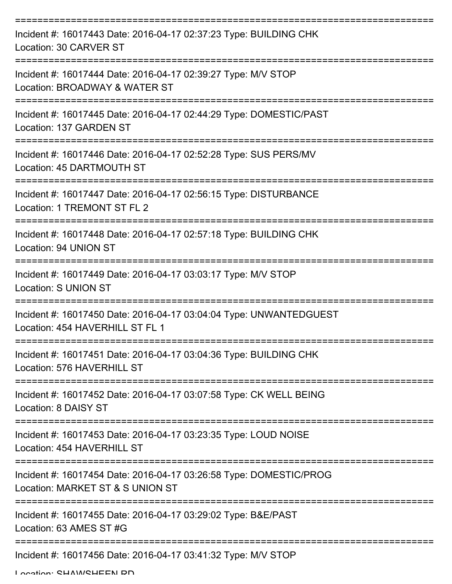| Incident #: 16017443 Date: 2016-04-17 02:37:23 Type: BUILDING CHK<br>Location: 30 CARVER ST            |
|--------------------------------------------------------------------------------------------------------|
| Incident #: 16017444 Date: 2016-04-17 02:39:27 Type: M/V STOP<br>Location: BROADWAY & WATER ST         |
| Incident #: 16017445 Date: 2016-04-17 02:44:29 Type: DOMESTIC/PAST<br>Location: 137 GARDEN ST          |
| Incident #: 16017446 Date: 2016-04-17 02:52:28 Type: SUS PERS/MV<br>Location: 45 DARTMOUTH ST          |
| Incident #: 16017447 Date: 2016-04-17 02:56:15 Type: DISTURBANCE<br>Location: 1 TREMONT ST FL 2        |
| Incident #: 16017448 Date: 2016-04-17 02:57:18 Type: BUILDING CHK<br>Location: 94 UNION ST             |
| Incident #: 16017449 Date: 2016-04-17 03:03:17 Type: M/V STOP<br><b>Location: S UNION ST</b>           |
| Incident #: 16017450 Date: 2016-04-17 03:04:04 Type: UNWANTEDGUEST<br>Location: 454 HAVERHILL ST FL 1  |
| Incident #: 16017451 Date: 2016-04-17 03:04:36 Type: BUILDING CHK<br>Location: 576 HAVERHILL ST        |
| Incident #: 16017452 Date: 2016-04-17 03:07:58 Type: CK WELL BEING<br>Location: 8 DAISY ST             |
| Incident #: 16017453 Date: 2016-04-17 03:23:35 Type: LOUD NOISE<br>Location: 454 HAVERHILL ST          |
| Incident #: 16017454 Date: 2016-04-17 03:26:58 Type: DOMESTIC/PROG<br>Location: MARKET ST & S UNION ST |
| Incident #: 16017455 Date: 2016-04-17 03:29:02 Type: B&E/PAST<br>Location: 63 AMES ST #G               |
| Incident #: 16017456 Date: 2016-04-17 03:41:32 Type: M/V STOP                                          |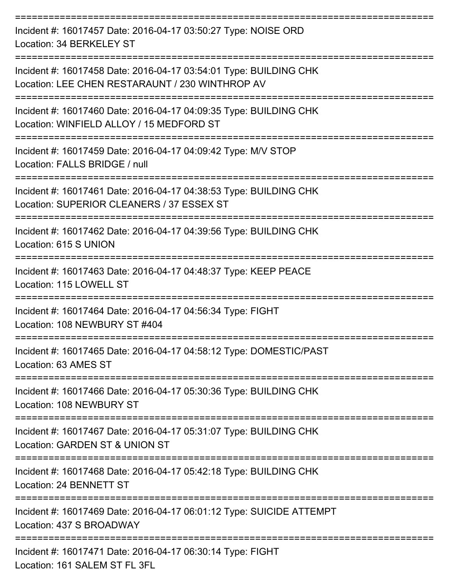| Incident #: 16017457 Date: 2016-04-17 03:50:27 Type: NOISE ORD<br>Location: 34 BERKELEY ST                           |
|----------------------------------------------------------------------------------------------------------------------|
| Incident #: 16017458 Date: 2016-04-17 03:54:01 Type: BUILDING CHK<br>Location: LEE CHEN RESTARAUNT / 230 WINTHROP AV |
| Incident #: 16017460 Date: 2016-04-17 04:09:35 Type: BUILDING CHK<br>Location: WINFIELD ALLOY / 15 MEDFORD ST        |
| Incident #: 16017459 Date: 2016-04-17 04:09:42 Type: M/V STOP<br>Location: FALLS BRIDGE / null                       |
| Incident #: 16017461 Date: 2016-04-17 04:38:53 Type: BUILDING CHK<br>Location: SUPERIOR CLEANERS / 37 ESSEX ST       |
| Incident #: 16017462 Date: 2016-04-17 04:39:56 Type: BUILDING CHK<br>Location: 615 S UNION                           |
| Incident #: 16017463 Date: 2016-04-17 04:48:37 Type: KEEP PEACE<br>Location: 115 LOWELL ST                           |
| Incident #: 16017464 Date: 2016-04-17 04:56:34 Type: FIGHT<br>Location: 108 NEWBURY ST #404                          |
| Incident #: 16017465 Date: 2016-04-17 04:58:12 Type: DOMESTIC/PAST<br>Location: 63 AMES ST                           |
| Incident #: 16017466 Date: 2016-04-17 05:30:36 Type: BUILDING CHK<br>Location: 108 NEWBURY ST                        |
| Incident #: 16017467 Date: 2016-04-17 05:31:07 Type: BUILDING CHK<br>Location: GARDEN ST & UNION ST                  |
| Incident #: 16017468 Date: 2016-04-17 05:42:18 Type: BUILDING CHK<br>Location: 24 BENNETT ST                         |
| Incident #: 16017469 Date: 2016-04-17 06:01:12 Type: SUICIDE ATTEMPT<br>Location: 437 S BROADWAY                     |
| Incident #: 16017471 Date: 2016-04-17 06:30:14 Type: FIGHT<br>Location: 161 SALEM ST FL 3FL                          |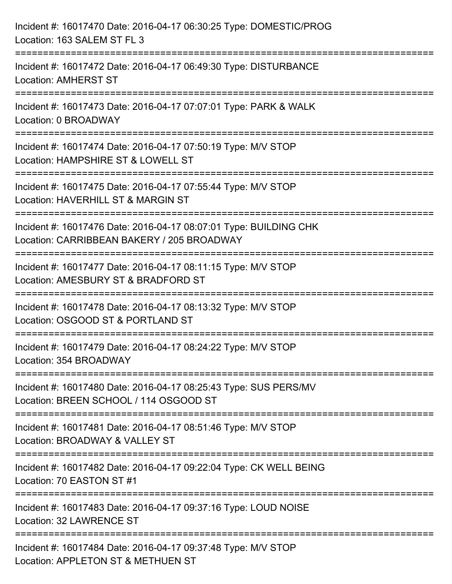| Incident #: 16017470 Date: 2016-04-17 06:30:25 Type: DOMESTIC/PROG<br>Location: 163 SALEM ST FL 3                                      |
|----------------------------------------------------------------------------------------------------------------------------------------|
| Incident #: 16017472 Date: 2016-04-17 06:49:30 Type: DISTURBANCE<br><b>Location: AMHERST ST</b>                                        |
| Incident #: 16017473 Date: 2016-04-17 07:07:01 Type: PARK & WALK<br>Location: 0 BROADWAY                                               |
| ============================<br>Incident #: 16017474 Date: 2016-04-17 07:50:19 Type: M/V STOP<br>Location: HAMPSHIRE ST & LOWELL ST    |
| Incident #: 16017475 Date: 2016-04-17 07:55:44 Type: M/V STOP<br>Location: HAVERHILL ST & MARGIN ST                                    |
| Incident #: 16017476 Date: 2016-04-17 08:07:01 Type: BUILDING CHK<br>Location: CARRIBBEAN BAKERY / 205 BROADWAY                        |
| :=============================<br>Incident #: 16017477 Date: 2016-04-17 08:11:15 Type: M/V STOP<br>Location: AMESBURY ST & BRADFORD ST |
| Incident #: 16017478 Date: 2016-04-17 08:13:32 Type: M/V STOP<br>Location: OSGOOD ST & PORTLAND ST                                     |
| Incident #: 16017479 Date: 2016-04-17 08:24:22 Type: M/V STOP<br>Location: 354 BROADWAY                                                |
| Incident #: 16017480 Date: 2016-04-17 08:25:43 Type: SUS PERS/MV<br>Location: BREEN SCHOOL / 114 OSGOOD ST                             |
| Incident #: 16017481 Date: 2016-04-17 08:51:46 Type: M/V STOP<br>Location: BROADWAY & VALLEY ST                                        |
| Incident #: 16017482 Date: 2016-04-17 09:22:04 Type: CK WELL BEING<br>Location: 70 EASTON ST #1                                        |
| Incident #: 16017483 Date: 2016-04-17 09:37:16 Type: LOUD NOISE<br>Location: 32 LAWRENCE ST                                            |
| Incident #: 16017484 Date: 2016-04-17 09:37:48 Type: M/V STOP<br>Location: APPLETON ST & METHUEN ST                                    |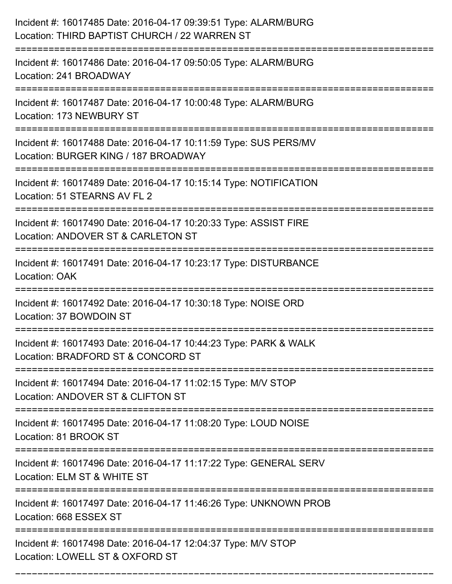| Incident #: 16017485 Date: 2016-04-17 09:39:51 Type: ALARM/BURG<br>Location: THIRD BAPTIST CHURCH / 22 WARREN ST<br>:================================== |
|---------------------------------------------------------------------------------------------------------------------------------------------------------|
| Incident #: 16017486 Date: 2016-04-17 09:50:05 Type: ALARM/BURG<br>Location: 241 BROADWAY                                                               |
| Incident #: 16017487 Date: 2016-04-17 10:00:48 Type: ALARM/BURG<br>Location: 173 NEWBURY ST                                                             |
| Incident #: 16017488 Date: 2016-04-17 10:11:59 Type: SUS PERS/MV<br>Location: BURGER KING / 187 BROADWAY                                                |
| Incident #: 16017489 Date: 2016-04-17 10:15:14 Type: NOTIFICATION<br>Location: 51 STEARNS AV FL 2                                                       |
| Incident #: 16017490 Date: 2016-04-17 10:20:33 Type: ASSIST FIRE<br>Location: ANDOVER ST & CARLETON ST                                                  |
| Incident #: 16017491 Date: 2016-04-17 10:23:17 Type: DISTURBANCE<br>Location: OAK                                                                       |
| Incident #: 16017492 Date: 2016-04-17 10:30:18 Type: NOISE ORD<br>Location: 37 BOWDOIN ST                                                               |
| Incident #: 16017493 Date: 2016-04-17 10:44:23 Type: PARK & WALK<br>Location: BRADFORD ST & CONCORD ST                                                  |
| Incident #: 16017494 Date: 2016-04-17 11:02:15 Type: M/V STOP<br>Location: ANDOVER ST & CLIFTON ST                                                      |
| Incident #: 16017495 Date: 2016-04-17 11:08:20 Type: LOUD NOISE<br>Location: 81 BROOK ST                                                                |
| Incident #: 16017496 Date: 2016-04-17 11:17:22 Type: GENERAL SERV<br>Location: ELM ST & WHITE ST                                                        |
| Incident #: 16017497 Date: 2016-04-17 11:46:26 Type: UNKNOWN PROB<br>Location: 668 ESSEX ST                                                             |
| Incident #: 16017498 Date: 2016-04-17 12:04:37 Type: M/V STOP<br>Location: LOWELL ST & OXFORD ST                                                        |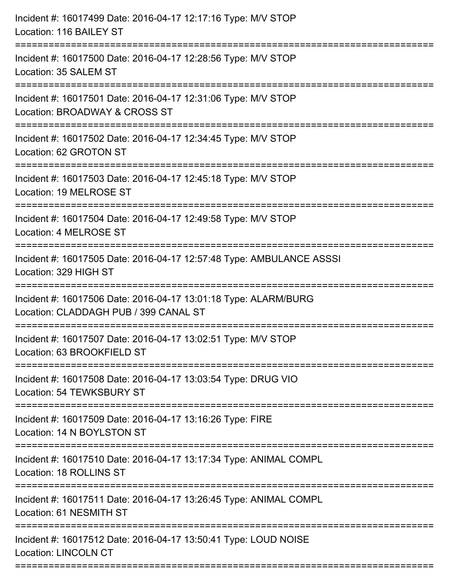| Incident #: 16017499 Date: 2016-04-17 12:17:16 Type: M/V STOP<br>Location: 116 BAILEY ST                                        |
|---------------------------------------------------------------------------------------------------------------------------------|
| Incident #: 16017500 Date: 2016-04-17 12:28:56 Type: M/V STOP<br>Location: 35 SALEM ST                                          |
| Incident #: 16017501 Date: 2016-04-17 12:31:06 Type: M/V STOP<br>Location: BROADWAY & CROSS ST                                  |
| Incident #: 16017502 Date: 2016-04-17 12:34:45 Type: M/V STOP<br>Location: 62 GROTON ST                                         |
| Incident #: 16017503 Date: 2016-04-17 12:45:18 Type: M/V STOP<br>Location: 19 MELROSE ST<br>-----------------------------       |
| Incident #: 16017504 Date: 2016-04-17 12:49:58 Type: M/V STOP<br>Location: 4 MELROSE ST                                         |
| Incident #: 16017505 Date: 2016-04-17 12:57:48 Type: AMBULANCE ASSSI<br>Location: 329 HIGH ST<br>============================== |
| Incident #: 16017506 Date: 2016-04-17 13:01:18 Type: ALARM/BURG<br>Location: CLADDAGH PUB / 399 CANAL ST                        |
| Incident #: 16017507 Date: 2016-04-17 13:02:51 Type: M/V STOP<br>Location: 63 BROOKFIELD ST                                     |
| Incident #: 16017508 Date: 2016-04-17 13:03:54 Type: DRUG VIO<br>Location: 54 TEWKSBURY ST                                      |
| Incident #: 16017509 Date: 2016-04-17 13:16:26 Type: FIRE<br>Location: 14 N BOYLSTON ST                                         |
| Incident #: 16017510 Date: 2016-04-17 13:17:34 Type: ANIMAL COMPL<br>Location: 18 ROLLINS ST                                    |
| Incident #: 16017511 Date: 2016-04-17 13:26:45 Type: ANIMAL COMPL<br>Location: 61 NESMITH ST                                    |
| Incident #: 16017512 Date: 2016-04-17 13:50:41 Type: LOUD NOISE<br><b>Location: LINCOLN CT</b>                                  |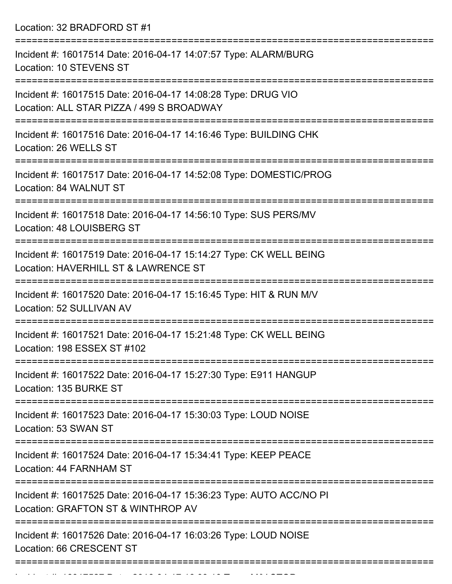Location: 32 BRADFORD ST #1 =========================================================================== Incident #: 16017514 Date: 2016-04-17 14:07:57 Type: ALARM/BURG Location: 10 STEVENS ST =========================================================================== Incident #: 16017515 Date: 2016-04-17 14:08:28 Type: DRUG VIO Location: ALL STAR PIZZA / 499 S BROADWAY =========================================================================== Incident #: 16017516 Date: 2016-04-17 14:16:46 Type: BUILDING CHK Location: 26 WELLS ST =========================================================================== Incident #: 16017517 Date: 2016-04-17 14:52:08 Type: DOMESTIC/PROG Location: 84 WALNUT ST =========================================================================== Incident #: 16017518 Date: 2016-04-17 14:56:10 Type: SUS PERS/MV Location: 48 LOUISBERG ST =========================================================================== Incident #: 16017519 Date: 2016-04-17 15:14:27 Type: CK WELL BEING Location: HAVERHILL ST & LAWRENCE ST =========================================================================== Incident #: 16017520 Date: 2016-04-17 15:16:45 Type: HIT & RUN M/V Location: 52 SULLIVAN AV =========================================================================== Incident #: 16017521 Date: 2016-04-17 15:21:48 Type: CK WELL BEING Location: 198 ESSEX ST #102 =========================================================================== Incident #: 16017522 Date: 2016-04-17 15:27:30 Type: E911 HANGUP Location: 135 BURKE ST =========================================================================== Incident #: 16017523 Date: 2016-04-17 15:30:03 Type: LOUD NOISE Location: 53 SWAN ST =========================================================================== Incident #: 16017524 Date: 2016-04-17 15:34:41 Type: KEEP PEACE Location: 44 FARNHAM ST =========================================================================== Incident #: 16017525 Date: 2016-04-17 15:36:23 Type: AUTO ACC/NO PI Location: GRAFTON ST & WINTHROP AV =========================================================================== Incident #: 16017526 Date: 2016-04-17 16:03:26 Type: LOUD NOISE Location: 66 CRESCENT ST ===========================================================================

Incident #: 16017527 Date: 2016 04 17 16:09:10 Type: M/V STOP:<br>.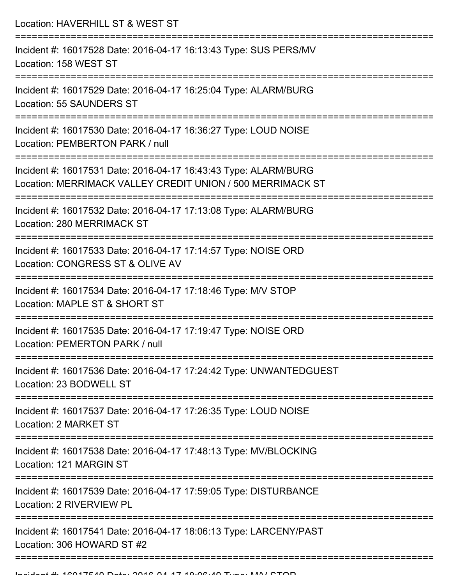Location: HAVERHILL ST & WEST ST =========================================================================== Incident #: 16017528 Date: 2016-04-17 16:13:43 Type: SUS PERS/MV Location: 158 WEST ST =========================================================================== Incident #: 16017529 Date: 2016-04-17 16:25:04 Type: ALARM/BURG Location: 55 SAUNDERS ST =========================================================================== Incident #: 16017530 Date: 2016-04-17 16:36:27 Type: LOUD NOISE Location: PEMBERTON PARK / null =========================================================================== Incident #: 16017531 Date: 2016-04-17 16:43:43 Type: ALARM/BURG Location: MERRIMACK VALLEY CREDIT UNION / 500 MERRIMACK ST =========================================================================== Incident #: 16017532 Date: 2016-04-17 17:13:08 Type: ALARM/BURG Location: 280 MERRIMACK ST =========================================================================== Incident #: 16017533 Date: 2016-04-17 17:14:57 Type: NOISE ORD Location: CONGRESS ST & OLIVE AV =========================================================================== Incident #: 16017534 Date: 2016-04-17 17:18:46 Type: M/V STOP Location: MAPLE ST & SHORT ST =========================================================================== Incident #: 16017535 Date: 2016-04-17 17:19:47 Type: NOISE ORD Location: PEMERTON PARK / null =========================================================================== Incident #: 16017536 Date: 2016-04-17 17:24:42 Type: UNWANTEDGUEST Location: 23 BODWELL ST =========================================================================== Incident #: 16017537 Date: 2016-04-17 17:26:35 Type: LOUD NOISE Location: 2 MARKET ST =========================================================================== Incident #: 16017538 Date: 2016-04-17 17:48:13 Type: MV/BLOCKING Location: 121 MARGIN ST =========================================================================== Incident #: 16017539 Date: 2016-04-17 17:59:05 Type: DISTURBANCE Location: 2 RIVERVIEW PL =========================================================================== Incident #: 16017541 Date: 2016-04-17 18:06:13 Type: LARCENY/PAST Location: 306 HOWARD ST #2 ===========================================================================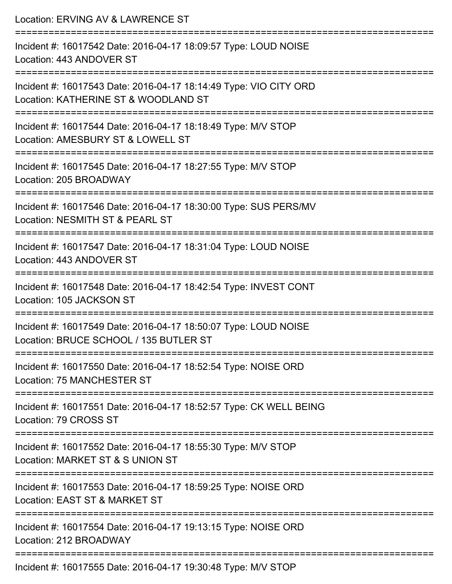| Location: ERVING AV & LAWRENCE ST                                                                                                    |
|--------------------------------------------------------------------------------------------------------------------------------------|
| Incident #: 16017542 Date: 2016-04-17 18:09:57 Type: LOUD NOISE<br>Location: 443 ANDOVER ST                                          |
| Incident #: 16017543 Date: 2016-04-17 18:14:49 Type: VIO CITY ORD<br>Location: KATHERINE ST & WOODLAND ST                            |
| Incident #: 16017544 Date: 2016-04-17 18:18:49 Type: M/V STOP<br>Location: AMESBURY ST & LOWELL ST<br>=========================      |
| Incident #: 16017545 Date: 2016-04-17 18:27:55 Type: M/V STOP<br>Location: 205 BROADWAY                                              |
| Incident #: 16017546 Date: 2016-04-17 18:30:00 Type: SUS PERS/MV<br>Location: NESMITH ST & PEARL ST<br>----------------------        |
| =====================================<br>Incident #: 16017547 Date: 2016-04-17 18:31:04 Type: LOUD NOISE<br>Location: 443 ANDOVER ST |
| Incident #: 16017548 Date: 2016-04-17 18:42:54 Type: INVEST CONT<br>Location: 105 JACKSON ST                                         |
| ==================<br>Incident #: 16017549 Date: 2016-04-17 18:50:07 Type: LOUD NOISE<br>Location: BRUCE SCHOOL / 135 BUTLER ST      |
| Incident #: 16017550 Date: 2016-04-17 18:52:54 Type: NOISE ORD<br>Location: 75 MANCHESTER ST                                         |
| Incident #: 16017551 Date: 2016-04-17 18:52:57 Type: CK WELL BEING<br>Location: 79 CROSS ST                                          |
| Incident #: 16017552 Date: 2016-04-17 18:55:30 Type: M/V STOP<br>Location: MARKET ST & S UNION ST                                    |
| Incident #: 16017553 Date: 2016-04-17 18:59:25 Type: NOISE ORD<br>Location: EAST ST & MARKET ST                                      |
| Incident #: 16017554 Date: 2016-04-17 19:13:15 Type: NOISE ORD<br>Location: 212 BROADWAY                                             |
| Incident #: 16017555 Date: 2016-04-17 19:30:48 Type: M/V STOP                                                                        |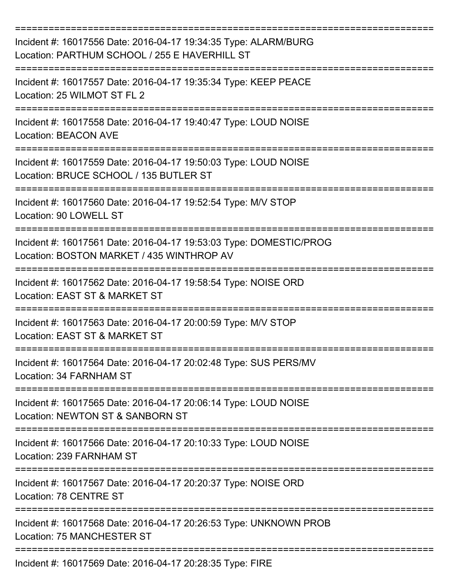| Incident #: 16017556 Date: 2016-04-17 19:34:35 Type: ALARM/BURG<br>Location: PARTHUM SCHOOL / 255 E HAVERHILL ST |
|------------------------------------------------------------------------------------------------------------------|
| Incident #: 16017557 Date: 2016-04-17 19:35:34 Type: KEEP PEACE<br>Location: 25 WILMOT ST FL 2                   |
| Incident #: 16017558 Date: 2016-04-17 19:40:47 Type: LOUD NOISE<br><b>Location: BEACON AVE</b>                   |
| Incident #: 16017559 Date: 2016-04-17 19:50:03 Type: LOUD NOISE<br>Location: BRUCE SCHOOL / 135 BUTLER ST        |
| Incident #: 16017560 Date: 2016-04-17 19:52:54 Type: M/V STOP<br>Location: 90 LOWELL ST                          |
| Incident #: 16017561 Date: 2016-04-17 19:53:03 Type: DOMESTIC/PROG<br>Location: BOSTON MARKET / 435 WINTHROP AV  |
| Incident #: 16017562 Date: 2016-04-17 19:58:54 Type: NOISE ORD<br>Location: EAST ST & MARKET ST                  |
| Incident #: 16017563 Date: 2016-04-17 20:00:59 Type: M/V STOP<br>Location: EAST ST & MARKET ST                   |
| Incident #: 16017564 Date: 2016-04-17 20:02:48 Type: SUS PERS/MV<br>Location: 34 FARNHAM ST                      |
| Incident #: 16017565 Date: 2016-04-17 20:06:14 Type: LOUD NOISE<br>Location: NEWTON ST & SANBORN ST              |
| Incident #: 16017566 Date: 2016-04-17 20:10:33 Type: LOUD NOISE<br>Location: 239 FARNHAM ST                      |
| Incident #: 16017567 Date: 2016-04-17 20:20:37 Type: NOISE ORD<br>Location: 78 CENTRE ST                         |
| Incident #: 16017568 Date: 2016-04-17 20:26:53 Type: UNKNOWN PROB<br>Location: 75 MANCHESTER ST                  |
| Incident #: 16017569 Date: 2016-04-17 20:28:35 Type: FIRE                                                        |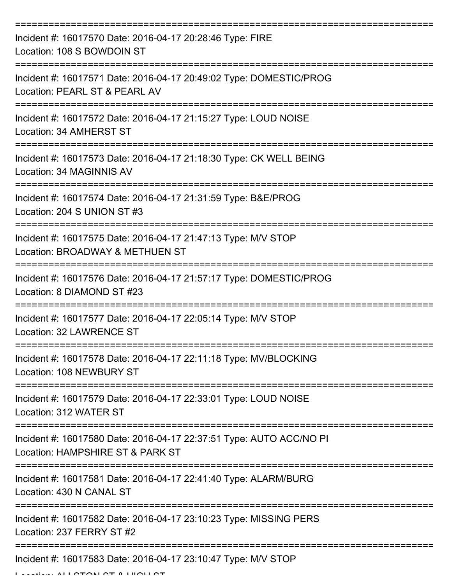| Incident #: 16017570 Date: 2016-04-17 20:28:46 Type: FIRE<br>Location: 108 S BOWDOIN ST                 |
|---------------------------------------------------------------------------------------------------------|
| Incident #: 16017571 Date: 2016-04-17 20:49:02 Type: DOMESTIC/PROG<br>Location: PEARL ST & PEARL AV     |
| Incident #: 16017572 Date: 2016-04-17 21:15:27 Type: LOUD NOISE<br>Location: 34 AMHERST ST              |
| Incident #: 16017573 Date: 2016-04-17 21:18:30 Type: CK WELL BEING<br>Location: 34 MAGINNIS AV          |
| Incident #: 16017574 Date: 2016-04-17 21:31:59 Type: B&E/PROG<br>Location: 204 S UNION ST #3            |
| Incident #: 16017575 Date: 2016-04-17 21:47:13 Type: M/V STOP<br>Location: BROADWAY & METHUEN ST        |
| Incident #: 16017576 Date: 2016-04-17 21:57:17 Type: DOMESTIC/PROG<br>Location: 8 DIAMOND ST #23        |
| Incident #: 16017577 Date: 2016-04-17 22:05:14 Type: M/V STOP<br>Location: 32 LAWRENCE ST               |
| Incident #: 16017578 Date: 2016-04-17 22:11:18 Type: MV/BLOCKING<br>Location: 108 NEWBURY ST            |
| Incident #: 16017579 Date: 2016-04-17 22:33:01 Type: LOUD NOISE<br>Location: 312 WATER ST               |
| Incident #: 16017580 Date: 2016-04-17 22:37:51 Type: AUTO ACC/NO PI<br>Location: HAMPSHIRE ST & PARK ST |
| Incident #: 16017581 Date: 2016-04-17 22:41:40 Type: ALARM/BURG<br>Location: 430 N CANAL ST             |
| Incident #: 16017582 Date: 2016-04-17 23:10:23 Type: MISSING PERS<br>Location: 237 FERRY ST #2          |
| Incident #: 16017583 Date: 2016-04-17 23:10:47 Type: M/V STOP                                           |